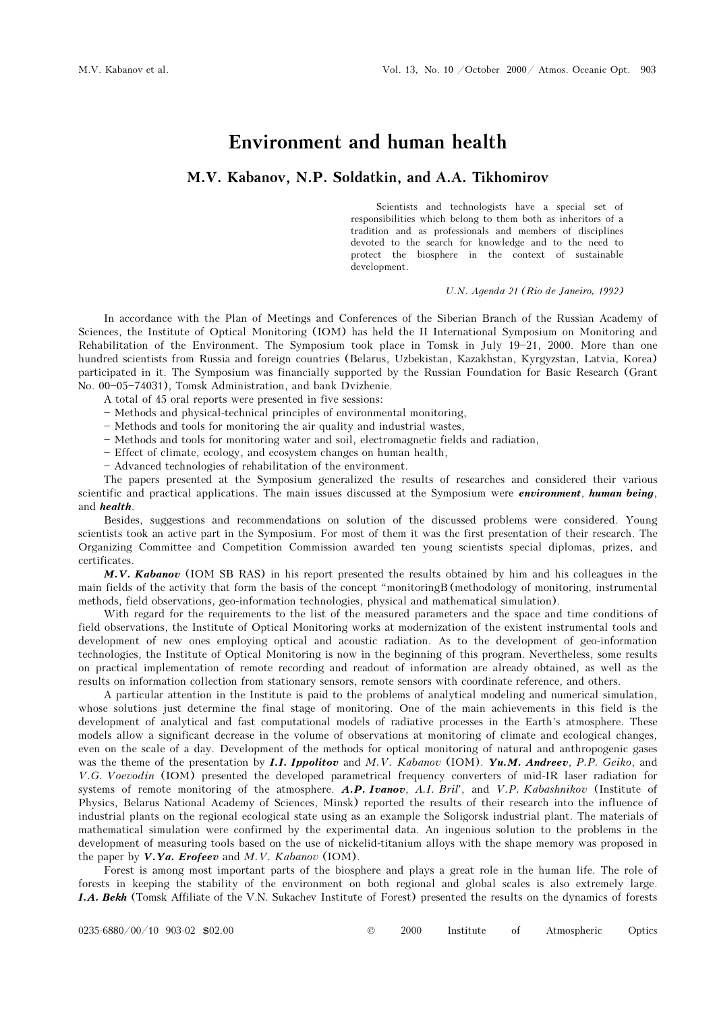## Environment and human health

## M.V. Kabanov, N.P. Soldatkin, and A.A. Tikhomirov

Scientists and technologists have a special set of responsibilities which belong to them both as inheritors of a tradition and as professionals and members of disciplines devoted to the search for knowledge and to the need to protect the biosphere in the context of sustainable development.

U.N. Agenda 21 (Rio de Janeiro, 1992)

In accordance with the Plan of Meetings and Conferences of the Siberian Branch of the Russian Academy of Sciences, the Institute of Optical Monitoring (IOM) has held the II International Symposium on Monitoring and Rehabilitation of the Environment. The Symposium took place in Tomsk in July  $19-21$ , 2000. More than one hundred scientists from Russia and foreign countries (Belarus, Uzbekistan, Kazakhstan, Kyrgyzstan, Latvia, Korea) participated in it. The Symposium was financially supported by the Russian Foundation for Basic Research (Grant No. 00-05-74031), Tomsk Administration, and bank Dvizhenie.

- A total of 45 oral reports were presented in five sessions:
- Methods and physical-technical principles of environmental monitoring,
- Methods and tools for monitoring the air quality and industrial wastes,
- Methods and tools for monitoring water and soil, electromagnetic fields and radiation,
- $-$  Effect of climate, ecology, and ecosystem changes on human health,
- Advanced technologies of rehabilitation of the environment.

The papers presented at the Symposium generalized the results of researches and considered their various scientific and practical applications. The main issues discussed at the Symposium were *environment*, *human being*, and health.

Besides, suggestions and recommendations on solution of the discussed problems were considered. Young scientists took an active part in the Symposium. For most of them it was the first presentation of their research. The Organizing Committee and Competition Commission awarded ten young scientists special diplomas, prizes, and certificates.

M.V. Kabanov (IOM SB RAS) in his report presented the results obtained by him and his colleagues in the main fields of the activity that form the basis of the concept "monitoringB (methodology of monitoring, instrumental methods, field observations, geo-information technologies, physical and mathematical simulation).

With regard for the requirements to the list of the measured parameters and the space and time conditions of field observations, the Institute of Optical Monitoring works at modernization of the existent instrumental tools and development of new ones employing optical and acoustic radiation. As to the development of geo-information technologies, the Institute of Optical Monitoring is now in the beginning of this program. Nevertheless, some results on practical implementation of remote recording and readout of information are already obtained, as well as the results on information collection from stationary sensors, remote sensors with coordinate reference, and others.

A particular attention in the Institute is paid to the problems of analytical modeling and numerical simulation, whose solutions just determine the final stage of monitoring. One of the main achievements in this field is the development of analytical and fast computational models of radiative processes in the Earth's atmosphere. These models allow a significant decrease in the volume of observations at monitoring of climate and ecological changes, even on the scale of a day. Development of the methods for optical monitoring of natural and anthropogenic gases was the theme of the presentation by **I.I. Ippolitov** and M.V. Kabanov (IOM). Yu.M. Andreev, P.P. Geiko, and V.G. Voevodin (IOM) presented the developed parametrical frequency converters of mid-IR laser radiation for systems of remote monitoring of the atmosphere. A.P. Ivanov, A.I. Bril', and V.P. Kabashnikov (Institute of Physics, Belarus National Academy of Sciences, Minsk) reported the results of their research into the influence of industrial plants on the regional ecological state using as an example the Soligorsk industrial plant. The materials of mathematical simulation were confirmed by the experimental data. An ingenious solution to the problems in the development of measuring tools based on the use of nickelid-titanium alloys with the shape memory was proposed in the paper by  $V.Ya$ . Erofeev and M.V. Kabanov (IOM).

Forest is among most important parts of the biosphere and plays a great role in the human life. The role of forests in keeping the stability of the environment on both regional and global scales is also extremely large. I.A. Bekh (Tomsk Affiliate of the V.N. Sukachev Institute of Forest) presented the results on the dynamics of forests